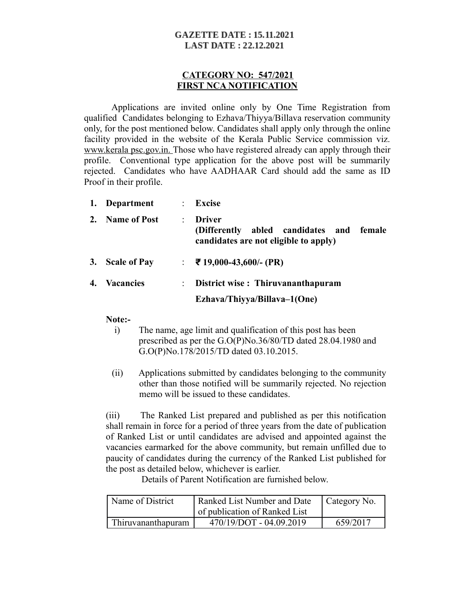## **GAZETTE DATE: 15.11.2021 LAST DATE: 22.12.2021**

## **CATEGORY NO: 547/2021 FIRST NCA NOTIFICATION**

Applications are invited online only by One Time Registration from qualified Candidates belonging to Ezhava/Thiyya/Billava reservation community only, for the post mentioned below. Candidates shall apply only through the online facility provided in the website of the Kerala Public Service commission viz. www.kerala psc.gov.in. Those who have registered already can apply through their profile. Conventional type application for the above post will be summarily rejected. Candidates who have AADHAAR Card should add the same as ID Proof in their profile.

|    | 1. Department       | $\mathbb{R}^n$ | <b>Excise</b>                                                                                             |
|----|---------------------|----------------|-----------------------------------------------------------------------------------------------------------|
| 2. | <b>Name of Post</b> | ÷              | <b>Driver</b><br>abled candidates and<br>female<br>(Differently)<br>candidates are not eligible to apply) |
| 3. | <b>Scale of Pay</b> |                | $\div$ ₹ 19,000-43,600/- (PR)                                                                             |
| 4. | <b>Vacancies</b>    | ÷.             | District wise: Thiruvananthapuram                                                                         |
|    |                     |                | Ezhava/Thiyya/Billava-1(One)                                                                              |

#### **Note:-**

- i) The name, age limit and qualification of this post has been prescribed as per the G.O(P)No.36/80/TD dated 28.04.1980 and G.O(P)No.178/2015/TD dated 03.10.2015.
- (ii)Applications submitted by candidates belonging to the community other than those notified will be summarily rejected. No rejection memo will be issued to these candidates.

(iii) The Ranked List prepared and published as per this notification shall remain in force for a period of three years from the date of publication of Ranked List or until candidates are advised and appointed against the vacancies earmarked for the above community, but remain unfilled due to paucity of candidates during the currency of the Ranked List published for the post as detailed below, whichever is earlier.

Details of Parent Notification are furnished below.

| Name of District   | Ranked List Number and Date<br>of publication of Ranked List | Category No. |
|--------------------|--------------------------------------------------------------|--------------|
| Thiruvananthapuram | 470/19/DOT - 04.09.2019                                      | 659/2017     |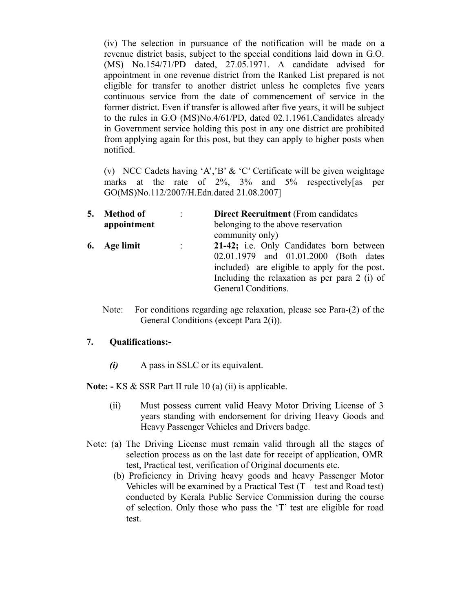(iv) The selection in pursuance of the notification will be made on a revenue district basis, subject to the special conditions laid down in G.O. (MS) No.154/71/PD dated, 27.05.1971. A candidate advised for appointment in one revenue district from the Ranked List prepared is not eligible for transfer to another district unless he completes five years continuous service from the date of commencement of service in the former district. Even if transfer is allowed after five years, it will be subject to the rules in G.O (MS)No.4/61/PD, dated 02.1.1961.Candidates already in Government service holding this post in any one district are prohibited from applying again for this post, but they can apply to higher posts when notified.

(v) NCC Cadets having 'A','B' & 'C' Certificate will be given weightage marks at the rate of 2%, 3% and 5% respectively[as per GO(MS)No.112/2007/H.Edn.dated 21.08.2007]

| 5. | <b>Method of</b> | ٠ | <b>Direct Recruitment</b> (From candidates)   |
|----|------------------|---|-----------------------------------------------|
|    | appointment      |   | belonging to the above reservation            |
|    |                  |   | community only)                               |
|    | 6. Age limit     |   | 21-42; i.e. Only Candidates born between      |
|    |                  |   | 02.01.1979 and 01.01.2000 (Both dates         |
|    |                  |   | included) are eligible to apply for the post. |
|    |                  |   | Including the relaxation as per para 2 (i) of |
|    |                  |   | General Conditions.                           |
|    |                  |   |                                               |

Note: For conditions regarding age relaxation, please see Para-(2) of the General Conditions (except Para 2(i)).

## **7. Qualifications:-**

*(i)* A pass in SSLC or its equivalent.

**Note: -** KS & SSR Part II rule 10 (a) (ii) is applicable.

- (ii) Must possess current valid Heavy Motor Driving License of 3 years standing with endorsement for driving Heavy Goods and Heavy Passenger Vehicles and Drivers badge.
- Note: (a) The Driving License must remain valid through all the stages of selection process as on the last date for receipt of application, OMR test, Practical test, verification of Original documents etc.
	- (b) Proficiency in Driving heavy goods and heavy Passenger Motor Vehicles will be examined by a Practical Test  $(T - \text{test} \text{ and } \text{ Road} \text{ test})$ conducted by Kerala Public Service Commission during the course of selection. Only those who pass the 'T' test are eligible for road test.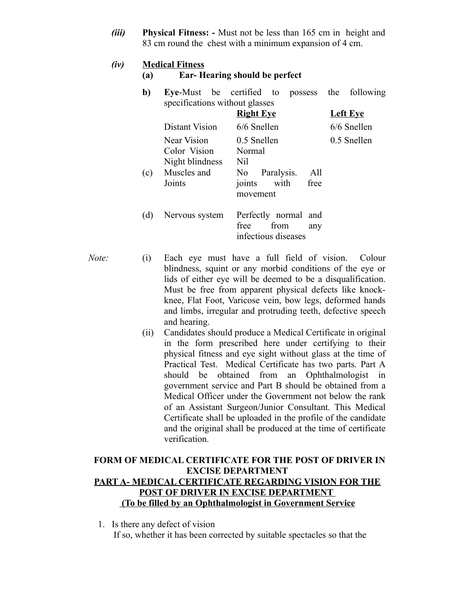*(iii)* **Physical Fitness: -** Must not be less than 165 cm in height and 83 cm round the chest with a minimum expansion of 4 cm.

### *(iv)* **Medical Fitness**

### **(a) Ear- Hearing should be perfect**

**b) Eye**-Must be certified to possess the following specifications without glasses

|     |                                                                         | <b>Right Eye</b>                                                                     | <b>Left Eye</b> |
|-----|-------------------------------------------------------------------------|--------------------------------------------------------------------------------------|-----------------|
|     | Distant Vision                                                          | 6/6 Snellen                                                                          | 6/6 Snellen     |
| (c) | Near Vision<br>Color Vision<br>Night blindness<br>Muscles and<br>Joints | 0.5 Snellen<br>Normal<br>Nil<br>No Paralysis.<br>All<br>joints with free<br>movement | 0.5 Snellen     |
| (d) | Nervous system                                                          | Perfectly normal and<br>from<br>free<br>any<br>infectious diseases                   |                 |

- *Note:* (i) Each eye must have a full field of vision. Colour blindness, squint or any morbid conditions of the eye or lids of either eye will be deemed to be a disqualification. Must be free from apparent physical defects like knockknee, Flat Foot, Varicose vein, bow legs, deformed hands and limbs, irregular and protruding teeth, defective speech and hearing.
	- (ii) Candidates should produce a Medical Certificate in original in the form prescribed here under certifying to their physical fitness and eye sight without glass at the time of Practical Test. Medical Certificate has two parts. Part A should be obtained from an Ophthalmologist in government service and Part B should be obtained from a Medical Officer under the Government not below the rank of an Assistant Surgeon/Junior Consultant. This Medical Certificate shall be uploaded in the profile of the candidate and the original shall be produced at the time of certificate verification.

## **FORM OF MEDICAL CERTIFICATE FOR THE POST OF DRIVER IN EXCISE DEPARTMENT PART A- MEDICAL CERTIFICATE REGARDING VISION FOR THE POST OF DRIVER IN EXCISE DEPARTMENT (To be filled by an Ophthalmologist in Government Service**

1. Is there any defect of vision If so, whether it has been corrected by suitable spectacles so that the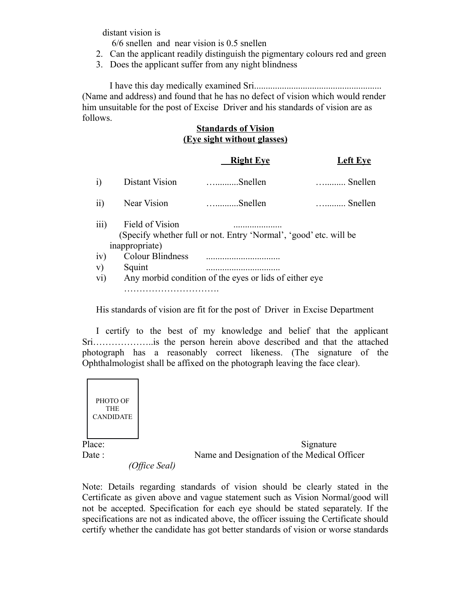distant vision is

6/6 snellen and near vision is 0.5 snellen

- 2. Can the applicant readily distinguish the pigmentary colours red and green
- 3. Does the applicant suffer from any night blindness

I have this day medically examined Sri....................................................... (Name and address) and found that he has no defect of vision which would render him unsuitable for the post of Excise Driver and his standards of vision are as follows.

## **Standards of Vision (Eye sight without glasses)**

|           |                                   | <b>Right Eye</b>                                                  | <b>Left Eve</b>  |
|-----------|-----------------------------------|-------------------------------------------------------------------|------------------|
| i)        | Distant Vision                    | $\dots\dots\dots Snellen$                                         | $\ldots$ Snellen |
| ii)       | Near Vision                       | $\dots\dots\dots Snellen$                                         | $\ldots$ Snellen |
| iii)      | Field of Vision<br>inappropriate) | (Specify whether full or not. Entry 'Normal', 'good' etc. will be |                  |
| iv)       | Colour Blindness                  |                                                                   |                  |
| V)<br>vi) | Squint                            | <br>Any morbid condition of the eyes or lids of either eye        |                  |
|           |                                   |                                                                   |                  |

His standards of vision are fit for the post of Driver in Excise Department

I certify to the best of my knowledge and belief that the applicant Sri………………..is the person herein above described and that the attached photograph has a reasonably correct likeness. (The signature of the Ophthalmologist shall be affixed on the photograph leaving the face clear).



Note: Details regarding standards of vision should be clearly stated in the Certificate as given above and vague statement such as Vision Normal/good will not be accepted. Specification for each eye should be stated separately. If the specifications are not as indicated above, the officer issuing the Certificate should certify whether the candidate has got better standards of vision or worse standards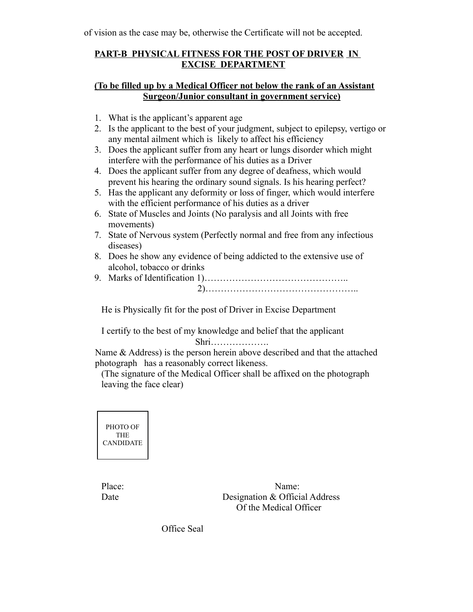of vision as the case may be, otherwise the Certificate will not be accepted.

# **PART-B PHYSICAL FITNESS FOR THE POST OF DRIVER IN EXCISE DEPARTMENT**

# **(To be filled up by a Medical Officer not below the rank of an Assistant Surgeon/Junior consultant in government service)**

- 1. What is the applicant's apparent age
- 2. Is the applicant to the best of your judgment, subject to epilepsy, vertigo or any mental ailment which is likely to affect his efficiency
- 3. Does the applicant suffer from any heart or lungs disorder which might interfere with the performance of his duties as a Driver
- 4. Does the applicant suffer from any degree of deafness, which would prevent his hearing the ordinary sound signals. Is his hearing perfect?
- 5. Has the applicant any deformity or loss of finger, which would interfere with the efficient performance of his duties as a driver
- 6. State of Muscles and Joints (No paralysis and all Joints with free movements)
- 7. State of Nervous system (Perfectly normal and free from any infectious diseases)
- 8. Does he show any evidence of being addicted to the extensive use of alcohol, tobacco or drinks
- 9. Marks of Identification 1)……………………………………….. 2)…………………………………………..

He is Physically fit for the post of Driver in Excise Department

I certify to the best of my knowledge and belief that the applicant Shri……………….

Name & Address) is the person herein above described and that the attached photograph has a reasonably correct likeness.

(The signature of the Medical Officer shall be affixed on the photograph leaving the face clear)



Place: Name: Date Designation & Official Address Of the Medical Officer

Office Seal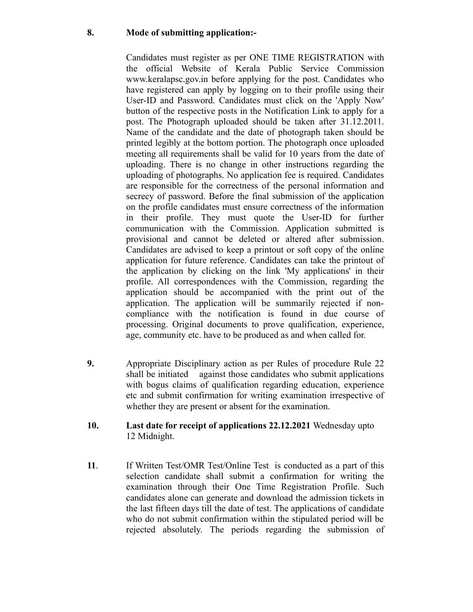## **8. Mode of submitting application:-**

Candidates must register as per ONE TIME REGISTRATION with the official Website of Kerala Public Service Commission www.keralapsc.gov.in before applying for the post. Candidates who have registered can apply by logging on to their profile using their User-ID and Password. Candidates must click on the 'Apply Now' button of the respective posts in the Notification Link to apply for a post. The Photograph uploaded should be taken after 31.12.2011. Name of the candidate and the date of photograph taken should be printed legibly at the bottom portion. The photograph once uploaded meeting all requirements shall be valid for 10 years from the date of uploading. There is no change in other instructions regarding the uploading of photographs. No application fee is required. Candidates are responsible for the correctness of the personal information and secrecy of password. Before the final submission of the application on the profile candidates must ensure correctness of the information in their profile. They must quote the User-ID for further communication with the Commission. Application submitted is provisional and cannot be deleted or altered after submission. Candidates are advised to keep a printout or soft copy of the online application for future reference. Candidates can take the printout of the application by clicking on the link 'My applications' in their profile. All correspondences with the Commission, regarding the application should be accompanied with the print out of the application. The application will be summarily rejected if noncompliance with the notification is found in due course of processing. Original documents to prove qualification, experience, age, community etc. have to be produced as and when called for.

- **9.** Appropriate Disciplinary action as per Rules of procedure Rule 22 shall be initiated against those candidates who submit applications with bogus claims of qualification regarding education, experience etc and submit confirmation for writing examination irrespective of whether they are present or absent for the examination.
- **10. Last date for receipt of applications 22.12.2021** Wednesday upto 12 Midnight.
- **11**. If Written Test/OMR Test/Online Test is conducted as a part of this selection candidate shall submit a confirmation for writing the examination through their One Time Registration Profile. Such candidates alone can generate and download the admission tickets in the last fifteen days till the date of test. The applications of candidate who do not submit confirmation within the stipulated period will be rejected absolutely. The periods regarding the submission of